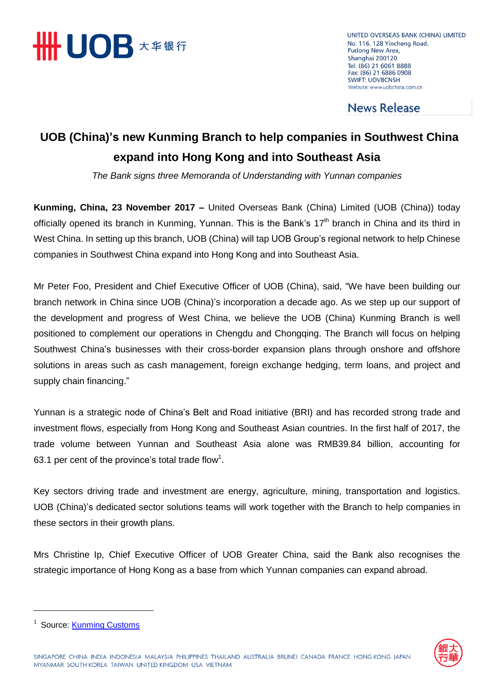

UNITED OVERSEAS BANK (CHINA) LIMITED No. 116, 128 Yincheng Road, Pudong New Area, Shanghai 200120 Tel: (86) 21 6061 8888 Fax: (86) 21 6886 0908 **SWIFT: UOVBCNSH** Website: www.uobchina.com.cn

**News Release** 

## **UOB (China)'s new Kunming Branch to help companies in Southwest China expand into Hong Kong and into Southeast Asia**

*The Bank signs three Memoranda of Understanding with Yunnan companies*

**Kunming, China, 23 November 2017 –** United Overseas Bank (China) Limited (UOB (China)) today officially opened its branch in Kunming, Yunnan. This is the Bank's  $17<sup>th</sup>$  branch in China and its third in West China. In setting up this branch, UOB (China) will tap UOB Group's regional network to help Chinese companies in Southwest China expand into Hong Kong and into Southeast Asia.

Mr Peter Foo, President and Chief Executive Officer of UOB (China), said, "We have been building our branch network in China since UOB (China)'s incorporation a decade ago. As we step up our support of the development and progress of West China, we believe the UOB (China) Kunming Branch is well positioned to complement our operations in Chengdu and Chongqing. The Branch will focus on helping Southwest China's businesses with their cross-border expansion plans through onshore and offshore solutions in areas such as cash management, foreign exchange hedging, term loans, and project and supply chain financing."

Yunnan is a strategic node of China's Belt and Road initiative (BRI) and has recorded strong trade and investment flows, especially from Hong Kong and Southeast Asian countries. In the first half of 2017, the trade volume between Yunnan and Southeast Asia alone was RMB39.84 billion, accounting for 63.1 per cent of the province's total trade flow<sup>1</sup>.

Key sectors driving trade and investment are energy, agriculture, mining, transportation and logistics. UOB (China)'s dedicated sector solutions teams will work together with the Branch to help companies in these sectors in their growth plans.

Mrs Christine Ip, Chief Executive Officer of UOB Greater China, said the Bank also recognises the strategic importance of Hong Kong as a base from which Yunnan companies can expand abroad.



<sup>&</sup>lt;sup>1</sup> Source: **Kunming Customs**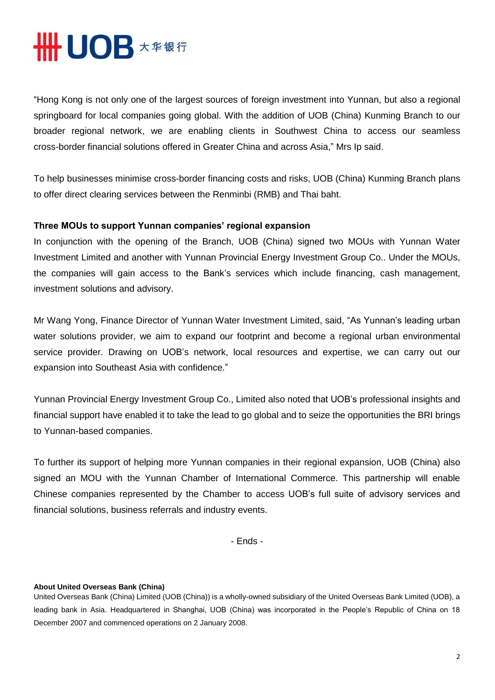## **HHUOB \*\*\*\***

"Hong Kong is not only one of the largest sources of foreign investment into Yunnan, but also a regional springboard for local companies going global. With the addition of UOB (China) Kunming Branch to our broader regional network, we are enabling clients in Southwest China to access our seamless cross-border financial solutions offered in Greater China and across Asia," Mrs Ip said.

To help businesses minimise cross-border financing costs and risks, UOB (China) Kunming Branch plans to offer direct clearing services between the Renminbi (RMB) and Thai baht.

## **Three MOUs to support Yunnan companies' regional expansion**

In conjunction with the opening of the Branch, UOB (China) signed two MOUs with Yunnan Water Investment Limited and another with Yunnan Provincial Energy Investment Group Co.. Under the MOUs, the companies will gain access to the Bank's services which include financing, cash management, investment solutions and advisory.

Mr Wang Yong, Finance Director of Yunnan Water Investment Limited, said, "As Yunnan's leading urban water solutions provider, we aim to expand our footprint and become a regional urban environmental service provider. Drawing on UOB's network, local resources and expertise, we can carry out our expansion into Southeast Asia with confidence."

Yunnan Provincial Energy Investment Group Co., Limited also noted that UOB's professional insights and financial support have enabled it to take the lead to go global and to seize the opportunities the BRI brings to Yunnan-based companies.

To further its support of helping more Yunnan companies in their regional expansion, UOB (China) also signed an MOU with the Yunnan Chamber of International Commerce. This partnership will enable Chinese companies represented by the Chamber to access UOB's full suite of advisory services and financial solutions, business referrals and industry events.

- Ends -

## **About United Overseas Bank (China)**

United Overseas Bank (China) Limited (UOB (China)) is a wholly-owned subsidiary of the United Overseas Bank Limited (UOB), a leading bank in Asia. Headquartered in Shanghai, UOB (China) was incorporated in the People's Republic of China on 18 December 2007 and commenced operations on 2 January 2008.